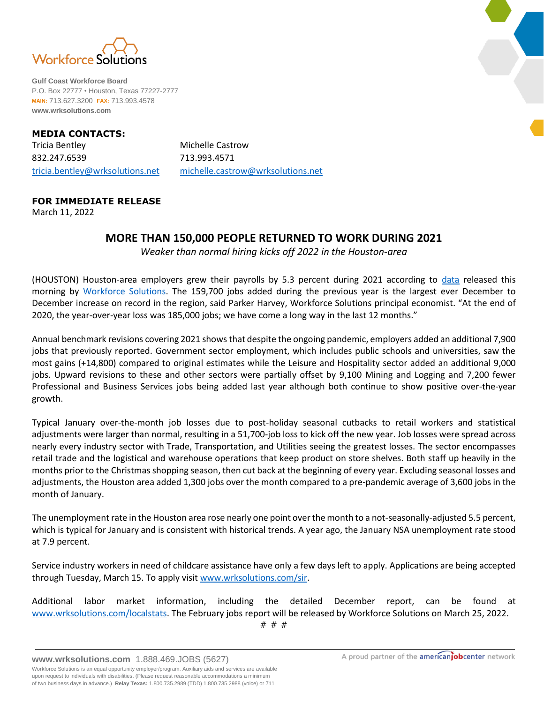

**Gulf Coast Workforce Board** P.O. Box 22777 • Houston, Texas 77227-2777 **MAIN:** 713.627.3200 **FAX:** 713.993.4578 **www.wrksolutions.com**

## **MEDIA CONTACTS:**

Tricia Bentley **Michelle Castrow** 832.247.6539 713.993.4571

[tricia.bentley@wrksolutions.net](mailto:tricia.bentley@wrksolutions.net) [michelle.castrow@wrksolutions.net](mailto:michelle.castrow@wrksolutions.net)

## **FOR IMMEDIATE RELEASE**

March 11, 2022

## **MORE THAN 150,000 PEOPLE RETURNED TO WORK DURING 2021**

*Weaker than normal hiring kicks off 2022 in the Houston-area*

(HOUSTON) Houston-area employers grew their payrolls by 5.3 percent during 2021 according to [data](http://www.wrksolutions.com/localstats) released this morning by [Workforce Solutions.](http://www.wrksolutions.com/) The 159,700 jobs added during the previous year is the largest ever December to December increase on record in the region, said Parker Harvey, Workforce Solutions principal economist. "At the end of 2020, the year-over-year loss was 185,000 jobs; we have come a long way in the last 12 months."

Annual benchmark revisions covering 2021 shows that despite the ongoing pandemic, employers added an additional 7,900 jobs that previously reported. Government sector employment, which includes public schools and universities, saw the most gains (+14,800) compared to original estimates while the Leisure and Hospitality sector added an additional 9,000 jobs. Upward revisions to these and other sectors were partially offset by 9,100 Mining and Logging and 7,200 fewer Professional and Business Services jobs being added last year although both continue to show positive over-the-year growth.

Typical January over-the-month job losses due to post-holiday seasonal cutbacks to retail workers and statistical adjustments were larger than normal, resulting in a 51,700-job loss to kick off the new year. Job losses were spread across nearly every industry sector with Trade, Transportation, and Utilities seeing the greatest losses. The sector encompasses retail trade and the logistical and warehouse operations that keep product on store shelves. Both staff up heavily in the months prior to the Christmas shopping season, then cut back at the beginning of every year. Excluding seasonal losses and adjustments, the Houston area added 1,300 jobs over the month compared to a pre-pandemic average of 3,600 jobs in the month of January.

The unemployment rate in the Houston area rose nearly one point over the month to a not-seasonally-adjusted 5.5 percent, which is typical for January and is consistent with historical trends. A year ago, the January NSA unemployment rate stood at 7.9 percent.

Service industry workers in need of childcare assistance have only a few days left to apply. Applications are being accepted through Tuesday, March 15. To apply visit [www.wrksolutions.com/sir.](http://www.wrksolutions.com/sir)

Additional labor market information, including the detailed December report, can be found at [www.wrksolutions.com/localstats.](http://www.wrksolutions.com/localstats) The February jobs report will be released by Workforce Solutions on March 25, 2022. # # #

**www.wrksolutions.com** 1.888.469.JOBS (5627)

Workforce Solutions is an equal opportunity employer/program. Auxiliary aids and services are available upon request to individuals with disabilities. (Please request reasonable accommodations a minimum of two business days in advance.) **Relay Texas:** 1.800.735.2989 (TDD) 1.800.735.2988 (voice) or 711